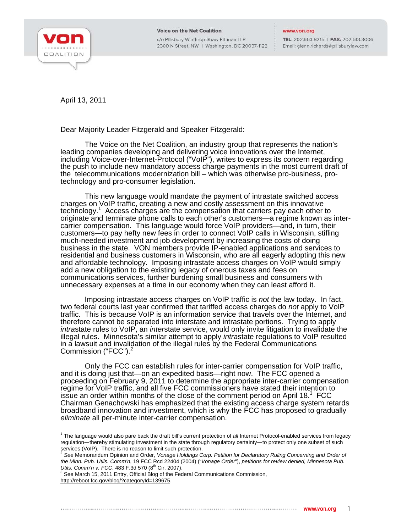

c/o Pillsbury Winthrop Shaw Pittman LLP 2300 N Street, NW | Washington, DC 20037-1122

## www.von.org

TEL: 202.663.8215 | FAX: 202.513.8006 Email: glenn.richards@pillsburylaw.com

April 13, 2011

Dear Majority Leader Fitzgerald and Speaker Fitzgerald:

The Voice on the Net Coalition, an industry group that represents the nation's leading companies developing and delivering voice innovations over the Internet, including Voice-over-Internet-Protocol ("VoIP"), writes to express its concern regarding the push to include new mandatory access charge payments in the most current draft of the telecommunications modernization bill – which was otherwise pro-business, protechnology and pro-consumer legislation.

This new language would mandate the payment of intrastate switched access charges on VoIP traffic, creating a new and costly assessment on this innovative technology.<sup>1</sup> Access charges are the compensation that carriers pay each other to originate and terminate phone calls to each other's customers—a regime known as intercarrier compensation. This language would force VoIP providers—and, in turn, their customers—to pay hefty new fees in order to connect VoIP calls in Wisconsin, stifling much-needed investment and job development by increasing the costs of doing business in the state. VON members provide IP-enabled applications and services to residential and business customers in Wisconsin, who are all eagerly adopting this new and affordable technology. Imposing intrastate access charges on VoIP would simply add a new obligation to the existing legacy of onerous taxes and fees on communications services, further burdening small business and consumers with unnecessary expenses at a time in our economy when they can least afford it.

Imposing intrastate access charges on VoIP traffic is *not* the law today. In fact, two federal courts last year confirmed that tariffed access charges do *not* apply to VoIP traffic. This is because VoIP is an information service that travels over the Internet, and therefore cannot be separated into interstate and intrastate portions. Trying to apply *intra*state rules to VoIP, an *inter*state service, would only invite litigation to invalidate the illegal rules. Minnesota's similar attempt to apply *intra*state regulations to VoIP resulted in a lawsuit and invalidation of the illegal rules by the Federal Communications Commission ("FCC").<sup>2</sup>

Only the FCC can establish rules for inter-carrier compensation for VoIP traffic, and it is doing just that—on an expedited basis—right now. The FCC opened a proceeding on February 9, 2011 to determine the appropriate inter-carrier compensation regime for VoIP traffic, and all five FCC commissioners have stated their intention to issue an order within months of the close of the comment period on April  $18.<sup>3</sup>$  FCC Chairman Genachowski has emphasized that the existing access charge system retards broadband innovation and investment, which is why the FCC has proposed to gradually *eliminate* all per-minute inter-carrier compensation.

 1 The language would also pare back the draft bill's current protection of *all* Internet Protocol-enabled services from legacy regulation—thereby stimulating investment in the state through regulatory certainty—to protect only one subset of such services (VoIP). There is no reason to limit such protection.<br><sup>2</sup> See Memorandum Opinion and Order, *Vonage Holdings Corp. Petition for Declaratory Ruling Concerning and Order of* 

*the Minn. Pub. Utils. Comm'n*, 19 FCC Rcd 22404 (2004) ("*Vonage Order*"), *petitions for review denied, Minnesota Pub. Utils. Comm'n v. FCC*, 483 F.3d 570 (8<sup>th</sup> Cir. 2007).

 $3$  See March 15, 2011 Entry, Official Blog of the Federal Communications Commission, http://reboot.fcc.gov/blog/?categoryId=139675.